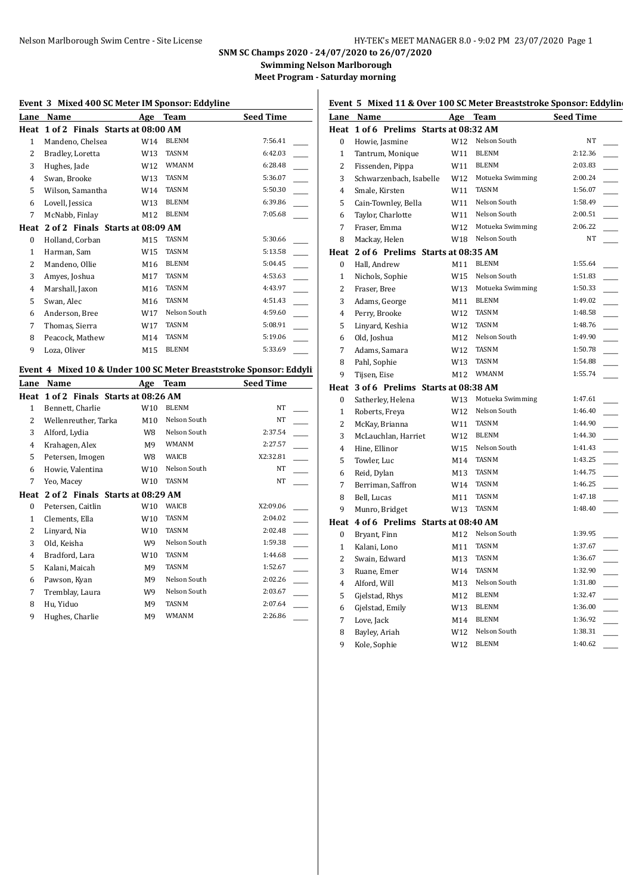# Nelson Marlborough Swim Centre - Site License HY-TEK's MEET MANAGER 8.0 - 9:02 PM 23/07/2020 Page 1

# **SNM SC Champs 2020 - 24/07/2020 to 26/07/2020**

**Swimming Nelson Marlborough Meet Program - Saturday morning**

#### **Event 3 Mixed 400 SC Meter IM Sponsor: Eddyline**

| <u>Lane</u>  | Name                                                               | Age             | <b>Team</b>  | <b>Seed Time</b> |
|--------------|--------------------------------------------------------------------|-----------------|--------------|------------------|
| Heat         | 1 of 2 Finals Starts at 08:00 AM                                   |                 |              |                  |
| $\mathbf{1}$ | Mandeno, Chelsea                                                   | W14             | <b>BLENM</b> | 7:56.41          |
| 2            | Bradley, Loretta                                                   | W13             | <b>TASNM</b> | 6:42.03          |
| 3            | Hughes, Jade                                                       | W <sub>12</sub> | <b>WMANM</b> | 6:28.48          |
| 4            | Swan, Brooke                                                       | W13             | <b>TASNM</b> | 5:36.07          |
| 5            | Wilson, Samantha                                                   | W14             | <b>TASNM</b> | 5:50.30          |
| 6            | Lovell, Jessica                                                    | W13             | <b>BLENM</b> | 6:39.86          |
| 7            | McNabb, Finlay                                                     | M12             | <b>BLENM</b> | 7:05.68          |
| Heat         | 2 of 2 Finals Starts at 08:09 AM                                   |                 |              |                  |
| 0            | Holland, Corban                                                    | M15             | <b>TASNM</b> | 5:30.66          |
| 1            | Harman, Sam                                                        | W15             | <b>TASNM</b> | 5:13.58          |
| 2            | Mandeno, Ollie                                                     | M <sub>16</sub> | <b>BLENM</b> | 5:04.45          |
| 3            | Amyes, Joshua                                                      | M17             | <b>TASNM</b> | 4:53.63          |
| 4            | Marshall, Jaxon                                                    | M16             | <b>TASNM</b> | 4:43.97          |
| 5            | Swan, Alec                                                         | M <sub>16</sub> | <b>TASNM</b> | 4:51.43          |
| 6            | Anderson, Bree                                                     | W17             | Nelson South | 4:59.60          |
| 7            | Thomas, Sierra                                                     | W17             | <b>TASNM</b> | 5:08.91          |
| 8            | Peacock, Mathew                                                    | M14             | <b>TASNM</b> | 5:19.06          |
| 9            | Loza, Oliver                                                       | M15             | <b>BLENM</b> | 5:33.69          |
|              |                                                                    |                 |              |                  |
|              | Event 4 Mixed 10 & Under 100 SC Meter Breaststroke Sponsor: Eddyli |                 |              |                  |
| <u>Lane</u>  | Name                                                               | Age             | <b>Team</b>  | <b>Seed Time</b> |

| Lalle | маше                             | Age | теаш         | зееч типе |
|-------|----------------------------------|-----|--------------|-----------|
| Heat  | 1 of 2 Finals Starts at 08:26 AM |     |              |           |
| 1     | Bennett, Charlie                 | W10 | <b>BLENM</b> | NT        |
| 2     | Wellenreuther, Tarka             | M10 | Nelson South | NT        |
| 3     | Alford, Lydia                    | W8  | Nelson South | 2:37.54   |
| 4     | Krahagen, Alex                   | M9  | <b>WMANM</b> | 2:27.57   |
| 5     | Petersen, Imogen                 | W8  | WAICB        | X2:32.81  |
| 6     | Howie, Valentina                 | W10 | Nelson South | NT        |
| 7     | Yeo, Macey                       | W10 | TASNM        | NT        |
| Heat  | 2 of 2 Finals Starts at 08:29 AM |     |              |           |
| 0     | Petersen, Caitlin                | W10 | WAICB        | X2:09.06  |
| 1     | Clements, Ella                   | W10 | TASNM        | 2:04.02   |
| 2     | Linyard, Nia                     | W10 | TASNM        | 2:02.48   |
| 3     | Old, Keisha                      | W9  | Nelson South | 1:59.38   |
| 4     | Bradford, Lara                   | W10 | TASNM        | 1:44.68   |
| 5     | Kalani, Maicah                   | M9  | TASNM        | 1:52.67   |
| 6     | Pawson, Kyan                     | M9  | Nelson South | 2:02.26   |
| 7     | Tremblay, Laura                  | W9  | Nelson South | 2:03.67   |
| 8     | Hu, Yiduo                        | M9  | TASNM        | 2:07.64   |
| 9     | Hughes, Charlie                  | M9  | WMANM        | 2:26.86   |

|                  | Lane Name                              | Age | <b>Team</b>      | <b>Seed Time</b> |
|------------------|----------------------------------------|-----|------------------|------------------|
|                  | Heat 1 of 6 Prelims Starts at 08:32 AM |     |                  |                  |
| $\boldsymbol{0}$ | Howie, Jasmine                         | W12 | Nelson South     | <b>NT</b>        |
| $\mathbf{1}$     | Tantrum, Monique                       | W11 | <b>BLENM</b>     | 2:12.36          |
| 2                | Fissenden, Pippa                       | W11 | <b>BLENM</b>     | 2:03.83          |
| 3                | Schwarzenbach, Isabelle                | W12 | Motueka Swimming | 2:00.24          |
| 4                | Smale, Kirsten                         | W11 | TASNM            | 1:56.07          |
| 5                | Cain-Townley, Bella                    | W11 | Nelson South     | 1:58.49          |
| 6                | Taylor, Charlotte                      | W11 | Nelson South     | 2:00.51          |
| 7                | Fraser, Emma                           | W12 | Motueka Swimming | 2:06.22          |
| 8                | Mackay, Helen                          | W18 | Nelson South     | NT               |
|                  | Heat 2 of 6 Prelims Starts at 08:35 AM |     |                  |                  |
| $\Omega$         | Hall, Andrew                           | M11 | <b>BLENM</b>     | 1:55.64          |
| $\mathbf{1}$     | Nichols, Sophie                        | W15 | Nelson South     | 1:51.83          |
| $\overline{2}$   | Fraser, Bree                           | W13 | Motueka Swimming | 1:50.33          |
| 3                | Adams, George                          | M11 | <b>BLENM</b>     | 1:49.02          |
| 4                | Perry, Brooke                          | W12 | TASNM            | 1:48.58          |
| 5                | Linyard, Keshia                        | W12 | <b>TASNM</b>     | 1:48.76          |
| 6                | Old, Joshua                            | M12 | Nelson South     | 1:49.90          |
| 7                | Adams, Samara                          | W12 | <b>TASNM</b>     | 1:50.78          |
| 8                | Pahl, Sophie                           | W13 | <b>TASNM</b>     | 1:54.88          |
| 9                | Tijsen, Eise                           | M12 | <b>WMANM</b>     | 1:55.74          |
|                  | Heat 3 of 6 Prelims Starts at 08:38 AM |     |                  |                  |
| $\bf{0}$         | Satherley, Helena                      | W13 | Motueka Swimming | 1:47.61          |
| $\mathbf{1}$     | Roberts, Freya                         | W12 | Nelson South     | 1:46.40          |
| $\overline{c}$   | McKay, Brianna                         | W11 | <b>TASNM</b>     | 1:44.90          |
| 3                | McLauchlan, Harriet                    | W12 | <b>BLENM</b>     | 1:44.30          |
| $\overline{4}$   | Hine. Ellinor                          | W15 | Nelson South     | 1:41.43          |
| 5                | Towler, Luc                            | M14 | <b>TASNM</b>     | 1:43.25          |
| 6                | Reid, Dylan                            | M13 | <b>TASNM</b>     | 1:44.75          |
| 7                | Berriman, Saffron                      | W14 | <b>TASNM</b>     | 1:46.25          |
| 8                | Bell, Lucas                            | M11 | <b>TASNM</b>     | 1:47.18          |
| 9                | Munro, Bridget                         | W13 | <b>TASNM</b>     | 1:48.40          |
|                  | Heat 4 of 6 Prelims Starts at 08:40 AM |     |                  |                  |
| 0                | Bryant, Finn                           | M12 | Nelson South     | 1:39.95          |
| 1                | Kalani, Lono                           | M11 | <b>TASNM</b>     | 1:37.67          |
| $\overline{c}$   | Swain, Edward                          | M13 | TASNM            | 1:36.67          |

| 3 | Ruane, Emer     | W14 | TASNM        | 1:32.90 |  |
|---|-----------------|-----|--------------|---------|--|
| 4 | Alford, Will    | M13 | Nelson South | 1:31.80 |  |
|   | Gjelstad, Rhys  | M12 | <b>BLENM</b> | 1:32.47 |  |
| 6 | Gjelstad, Emily | W13 | <b>BLENM</b> | 1:36.00 |  |
|   | Love, Jack      | M14 | <b>BLENM</b> | 1:36.92 |  |
| 8 | Bayley, Ariah   | W12 | Nelson South | 1:38.31 |  |
|   | Kole, Sophie    |     | <b>BLENM</b> | 1:40.62 |  |

#### **Event 5 Mixed 11 & Over 100 SC Meter Breaststroke Sponsor: Eddyline**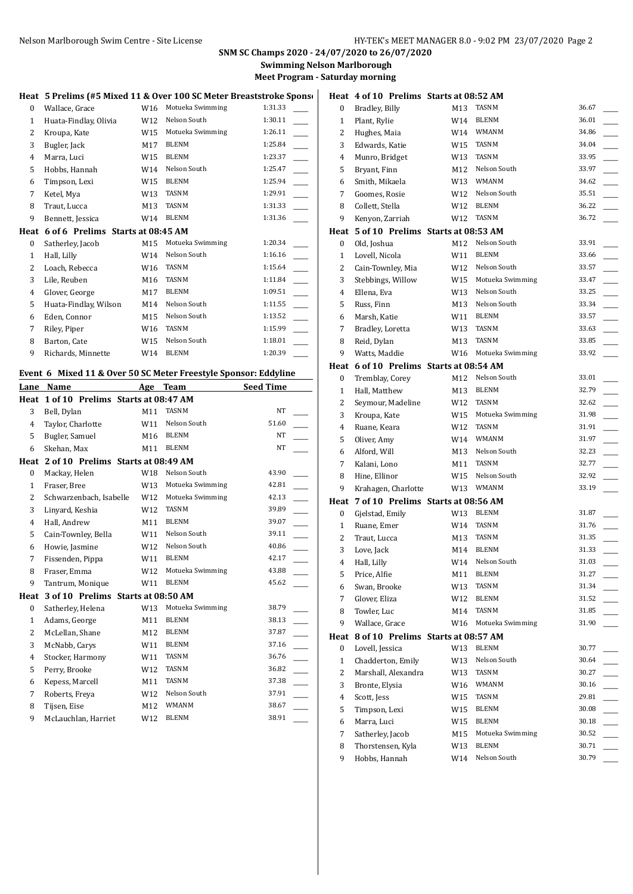## **SNM SC Champs 2020 - 24/07/2020 to 26/07/2020 Swimming Nelson Marlborough**

**Meet Program - Saturday morning**

|              | Heat 5 Prelims (#5 Mixed 11 & Over 100 SC Meter Breaststroke Sponse |                 |                  |         | Heat 4 o     |            |
|--------------|---------------------------------------------------------------------|-----------------|------------------|---------|--------------|------------|
| $\bf{0}$     | Wallace, Grace                                                      | W16             | Motueka Swimming | 1:31.33 | 0            | Bra        |
| $\mathbf{1}$ | Huata-Findlay, Olivia                                               | W12             | Nelson South     | 1:30.11 | $\mathbf{1}$ | Pla        |
| 2            | Kroupa, Kate                                                        | W15             | Motueka Swimming | 1:26.11 | 2            | Hu         |
| 3            | Bugler, Jack                                                        | M17             | <b>BLENM</b>     | 1:25.84 | 3            | Ed         |
| 4            | Marra, Luci                                                         | W15             | <b>BLENM</b>     | 1:23.37 | 4            | Mu         |
| 5            | Hobbs, Hannah                                                       | W14             | Nelson South     | 1:25.47 | 5            | <b>Bry</b> |
| 6            | Timpson, Lexi                                                       | W15             | <b>BLENM</b>     | 1:25.94 | 6            | Sm         |
| 7            | Ketel, Mya                                                          | W <sub>13</sub> | <b>TASNM</b>     | 1:29.91 | 7            | Go         |
| 8            | Traut, Lucca                                                        | M13             | TASNM            | 1:31.33 | 8            | Col        |
| 9            | Bennett, Jessica                                                    | W14             | <b>BLENM</b>     | 1:31.36 | 9            | Kei        |
|              |                                                                     |                 |                  |         |              |            |
| Heat         | 6 of 6 Prelims Starts at 08:45 AM                                   |                 |                  |         | Heat         | 5 c        |
| $\mathbf{0}$ | Satherley, Jacob                                                    | M15             | Motueka Swimming | 1:20.34 | 0            | Old        |
| 1            | Hall, Lilly                                                         | W14             | Nelson South     | 1:16.16 | 1            | Loy        |
| 2            | Loach, Rebecca                                                      | W16             | TASNM            | 1:15.64 | 2            | Cai        |
| 3            | Lile, Reuben                                                        | M16             | <b>TASNM</b>     | 1:11.84 | 3            | Ste        |
| 4            | Glover, George                                                      | M17             | <b>BLENM</b>     | 1:09.51 | 4            | Elle       |
| 5            | Huata-Findlay, Wilson                                               | M14             | Nelson South     | 1:11.55 | 5            | Ru:        |
| 6            | Eden, Connor                                                        | M15             | Nelson South     | 1:13.52 | 6            | Ma         |
| 7            | Riley, Piper                                                        | W16             | <b>TASNM</b>     | 1:15.99 | 7            | Bra        |
| 8            | Barton, Cate                                                        | W15             | Nelson South     | 1:18.01 | 8            | Rei        |
| 9            | Richards, Minnette                                                  | W14             | <b>BLENM</b>     | 1:20.39 | 9            | Wa         |

# **Event 6 Mixed 11 & Over 50 SC Meter Freestyle Sponsor: Eddyline**

| Lane           | Name                               | Age             | Team             | <b>Seed Time</b> |  |
|----------------|------------------------------------|-----------------|------------------|------------------|--|
| Heat           | 1 of 10 Prelims Starts at 08:47 AM |                 |                  |                  |  |
| 3              | Bell, Dylan                        | M11             | <b>TASNM</b>     | <b>NT</b>        |  |
| 4              | Taylor, Charlotte                  | W11             | Nelson South     | 51.60            |  |
| 5              | Bugler, Samuel                     | M16             | <b>BLENM</b>     | <b>NT</b>        |  |
| 6              | Skehan, Max                        | M11             | <b>BLENM</b>     | NT               |  |
| Heat           | 2 of 10 Prelims Starts at 08:49 AM |                 |                  |                  |  |
| 0              | Mackay, Helen                      | W18             | Nelson South     | 43.90            |  |
| $\mathbf{1}$   | Fraser, Bree                       | W <sub>13</sub> | Motueka Swimming | 42.81            |  |
| $\overline{c}$ | Schwarzenbach, Isabelle            | W12             | Motueka Swimming | 42.13            |  |
| 3              | Linyard, Keshia                    | W12             | <b>TASNM</b>     | 39.89            |  |
| $\overline{4}$ | Hall, Andrew                       | M11             | <b>BLENM</b>     | 39.07            |  |
| 5              | Cain-Townley, Bella                | W11             | Nelson South     | 39.11            |  |
| 6              | Howie, Jasmine                     | W12             | Nelson South     | 40.86            |  |
| 7              | Fissenden, Pippa                   | W11             | <b>BLENM</b>     | 42.17            |  |
| 8              | Fraser, Emma                       | W12             | Motueka Swimming | 43.88            |  |
| 9              | Tantrum, Monique                   | W11             | <b>BLENM</b>     | 45.62            |  |
| Heat           | 3 of 10 Prelims Starts at 08:50 AM |                 |                  |                  |  |
| $\bf{0}$       | Satherley, Helena                  | W13             | Motueka Swimming | 38.79            |  |
| $\mathbf{1}$   | Adams, George                      | M11             | <b>BLENM</b>     | 38.13            |  |
| $\overline{2}$ | McLellan, Shane                    | M12             | <b>BLENM</b>     | 37.87            |  |
| 3              | McNabb, Carys                      | W11             | <b>BLENM</b>     | 37.16            |  |
| 4              | Stocker, Harmony                   | W11             | <b>TASNM</b>     | 36.76            |  |
| 5              | Perry, Brooke                      | W <sub>12</sub> | <b>TASNM</b>     | 36.82            |  |
| 6              | Kepess, Marcell                    | M11             | <b>TASNM</b>     | 37.38            |  |
| 7              | Roberts, Freya                     | W <sub>12</sub> | Nelson South     | 37.91            |  |
| 8              | Tijsen, Eise                       | M12             | <b>WMANM</b>     | 38.67            |  |
| 9              | McLauchlan, Harriet                | W <sub>12</sub> | <b>BLENM</b>     | 38.91            |  |
|                |                                    |                 |                  |                  |  |

|              | Heat 4 of 10 Prelims Starts at 08:52 AM |     |                  |       |
|--------------|-----------------------------------------|-----|------------------|-------|
| 0            | Bradley, Billy                          | M13 | TASNM            | 36.67 |
| 1            | Plant, Rylie                            | W14 | <b>BLENM</b>     | 36.01 |
| 2            | Hughes, Maia                            | W14 | WMANM            | 34.86 |
| 3            | Edwards, Katie                          | W15 | TASNM            | 34.04 |
| 4            | Munro, Bridget                          | W13 | <b>TASNM</b>     | 33.95 |
| 5            | Bryant, Finn                            | M12 | Nelson South     | 33.97 |
| 6            | Smith, Mikaela                          |     | W13 WMANM        | 34.62 |
| 7            | Goomes, Rosie                           | W12 | Nelson South     | 35.51 |
| 8            | Collett, Stella                         | W12 | BLENM            | 36.22 |
| 9            | Kenyon, Zarriah                         | W12 | TASNM            | 36.72 |
|              | Heat 5 of 10 Prelims Starts at 08:53 AM |     |                  |       |
| 0            | Old, Joshua                             | M12 | Nelson South     | 33.91 |
| $\mathbf{1}$ | Lovell, Nicola                          | W11 | BLENM            | 33.66 |
| 2            | Cain-Townley, Mia                       | W12 | Nelson South     | 33.57 |
| 3            | Stebbings, Willow                       | W15 | Motueka Swimming | 33.47 |
| 4            | Ellena, Eva                             | W13 | Nelson South     | 33.25 |
| 5            | Russ, Finn                              | M13 | Nelson South     | 33.34 |
| 6            | Marsh, Katie                            | W11 | <b>BLENM</b>     | 33.57 |
| 7            | Bradley, Loretta                        | W13 | TASNM            | 33.63 |
| 8            | Reid, Dylan                             | M13 | <b>TASNM</b>     | 33.85 |
| 9            | Watts, Maddie                           | W16 | Motueka Swimming | 33.92 |
|              | Heat 6 of 10 Prelims Starts at 08:54 AM |     |                  |       |
| 0            | Tremblay, Corey                         | M12 | Nelson South     | 33.01 |
| $\mathbf{1}$ | Hall, Matthew                           | M13 | BLENM            | 32.79 |
| 2            | Seymour, Madeline                       | W12 | TASNM            | 32.62 |
| 3            | Kroupa, Kate                            | W15 | Motueka Swimming | 31.98 |
| 4            | Ruane, Keara                            | W12 | TASNM            | 31.91 |
| 5            | Oliver, Amy                             | W14 | WMANM            | 31.97 |
| 6            | Alford, Will                            | M13 | Nelson South     | 32.23 |
| 7            | Kalani, Lono                            | M11 | <b>TASNM</b>     | 32.77 |
| 8            | Hine, Ellinor                           | W15 | Nelson South     | 32.92 |
| 9            | Krahagen, Charlotte                     | W13 | <b>WMANM</b>     | 33.19 |
|              | Heat 7 of 10 Prelims Starts at 08:56 AM |     |                  |       |
| 0            | Gjelstad, Emily                         | W13 | <b>BLENM</b>     | 31.87 |
| 1            | Ruane, Emer                             | W14 | TASNM            | 31.76 |
| 2            | Traut, Lucca                            | M13 | TASNM            | 31.35 |
| 3            | Love, Jack                              | M14 | BLENM            | 31.33 |
| 4            | Hall, Lilly                             | W14 | Nelson South     | 31.03 |
| 5            | Price, Alfie                            | M11 | BLENM            | 31.27 |
| 6            | Swan, Brooke                            | W13 | TASNM            | 31.34 |
| 7            | Glover, Eliza                           | W12 | BLENM            | 31.52 |
| 8            | Towler, Luc                             | M14 | TASNM            | 31.85 |
| 9            | Wallace, Grace                          | W16 | Motueka Swimming | 31.90 |
| Heat         | 8 of 10 Prelims Starts at 08:57 AM      |     |                  |       |
| 0            | Lovell, Jessica                         | W13 | BLENM            | 30.77 |
| 1            | Chadderton, Emily                       | W13 | Nelson South     | 30.64 |
| 2            | Marshall, Alexandra                     | W13 | TASNM            | 30.27 |
| 3            | Bronte, Elysia                          |     | WMANM            | 30.16 |
| 4            |                                         | W16 | TASNM            | 29.81 |
|              | Scott, Jess                             | W15 | BLENM            | 30.08 |
| 5            | Timpson, Lexi                           | W15 | BLENM            | 30.18 |
| 6            | Marra, Luci                             | W15 | Motueka Swimming | 30.52 |
| 7            | Satherley, Jacob                        | M15 | BLENM            | 30.71 |
| 8            | Thorstensen, Kyla                       | W13 | Nelson South     | 30.79 |
| 9            | Hobbs, Hannah                           | W14 |                  |       |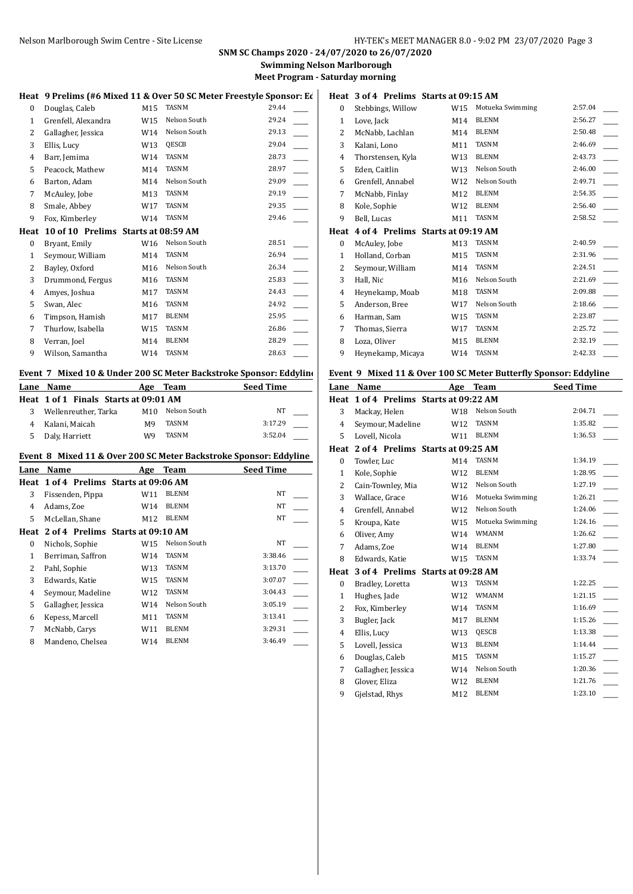### **SNM SC Champs 2020 - 24/07/2020 to 26/07/2020 Swimming Nelson Marlborough**

**Meet Program - Saturday morning**

### Heat 9 Prelims (#6 Mixed 11 & Over 50 SC Meter Freestyle Sponsor: Ed

| 0    | Douglas, Caleb                      | M15             | <b>TASNM</b> | 29.44 |
|------|-------------------------------------|-----------------|--------------|-------|
| 1    | Grenfell, Alexandra                 | W15             | Nelson South | 29.24 |
| 2    | Gallagher, Jessica                  | W14             | Nelson South | 29.13 |
| 3    | Ellis, Lucy                         | W <sub>13</sub> | QESCB        | 29.04 |
| 4    | Barr, Jemima                        | W14             | TASNM        | 28.73 |
| 5    | Peacock, Mathew                     | M14             | <b>TASNM</b> | 28.97 |
| 6    | Barton, Adam                        | M14             | Nelson South | 29.09 |
| 7    | McAuley, Jobe                       | M13             | <b>TASNM</b> | 29.19 |
| 8    | Smale, Abbey                        | W17             | TASNM        | 29.35 |
| 9    | Fox, Kimberley                      | W14             | <b>TASNM</b> | 29.46 |
|      | 10 of 10 Prelims Starts at 08:59 AM |                 |              |       |
| Heat |                                     |                 |              |       |
| 0    | Bryant, Emily                       | W16             | Nelson South | 28.51 |
| 1    | Seymour, William                    | M14             | <b>TASNM</b> | 26.94 |
| 2    | Bayley, Oxford                      | M16             | Nelson South | 26.34 |
| 3    | Drummond, Fergus                    | M16             | <b>TASNM</b> | 25.83 |
| 4    | Amyes, Joshua                       | M17             | TASNM        | 24.43 |
| 5    | Swan, Alec                          | M16             | <b>TASNM</b> | 24.92 |
| 6    | Timpson, Hamish                     | M17             | <b>BLENM</b> | 25.95 |
| 7    | Thurlow, Isabella                   | W15             | <b>TASNM</b> | 26.86 |
| 8    | Verran, Joel                        | M14             | <b>BLENM</b> | 28.29 |

### **Event 7 Mixed 10 & Under 200 SC Meter Backstroke Sponsor: Eddyline**

|    | Lane Name                             | Age             | Team         | <b>Seed Time</b> |
|----|---------------------------------------|-----------------|--------------|------------------|
|    | Heat 1 of 1 Finals Starts at 09:01 AM |                 |              |                  |
| 3  | Wellenreuther, Tarka                  | M <sub>10</sub> | Nelson South | NT               |
|    | Kalani, Maicah                        | M9              | TASNM        | 3:17.29          |
| 5. | Daly, Harriett                        | W9              | TASNM        | 3:52.04          |

#### **Event 8 Mixed 11 & Over 200 SC Meter Backstroke Sponsor: Eddyline**

| Lane | Name                                   | Age | Team         | <b>Seed Time</b> |
|------|----------------------------------------|-----|--------------|------------------|
|      | Heat 1 of 4 Prelims Starts at 09:06 AM |     |              |                  |
| 3    | Fissenden, Pippa                       | W11 | BLENM        | NT               |
| 4    | Adams, Zoe                             | W14 | BLENM        | NT               |
| 5    | McLellan, Shane                        | M12 | BLENM        | NT               |
| Heat | 2 of 4 Prelims Starts at 09:10 AM      |     |              |                  |
| 0    | Nichols, Sophie                        | W15 | Nelson South | NT               |
| 1    | Berriman, Saffron                      | W14 | <b>TASNM</b> | 3:38.46          |
| 2    | Pahl, Sophie                           | W13 | TASNM        | 3:13.70          |
| 3    | Edwards, Katie                         | W15 | TASNM        | 3:07.07          |
| 4    | Seymour, Madeline                      | W12 | TASNM        | 3:04.43          |
| 5    | Gallagher, Jessica                     | W14 | Nelson South | 3:05.19          |
| 6    | Kepess, Marcell                        | M11 | TASNM        | 3:13.41          |
| 7    | McNabb, Carys                          | W11 | BLENM        | 3:29.31          |
| 8    | Mandeno, Chelsea                       | W14 | <b>BLENM</b> | 3:46.49          |

| Heat         | 3 of 4 Prelims Starts at 09:15 AM      |     |                  |         |
|--------------|----------------------------------------|-----|------------------|---------|
| 0            | Stebbings, Willow                      | W15 | Motueka Swimming | 2:57.04 |
| $\mathbf{1}$ | Love, Jack                             | M14 | <b>BLENM</b>     | 2:56.27 |
| 2            | McNabb, Lachlan                        | M14 | <b>BLENM</b>     | 2:50.48 |
| 3            | Kalani, Lono                           | M11 | <b>TASNM</b>     | 2:46.69 |
| 4            | Thorstensen, Kyla                      | W13 | <b>BLENM</b>     | 2:43.73 |
| 5            | Eden, Caitlin                          | W13 | Nelson South     | 2:46.00 |
| 6            | Grenfell, Annabel                      | W12 | Nelson South     | 2:49.71 |
| 7            | McNabb, Finlay                         | M12 | <b>BLENM</b>     | 2:54.35 |
| 8            | Kole, Sophie                           | W12 | <b>BLENM</b>     | 2:56.40 |
| 9            | Bell, Lucas                            | M11 | <b>TASNM</b>     | 2:58.52 |
|              | Heat 4 of 4 Prelims Starts at 09:19 AM |     |                  |         |
| 0            | McAuley, Jobe                          | M13 | <b>TASNM</b>     | 2:40.59 |
| $\mathbf{1}$ | Holland, Corban                        | M15 | <b>TASNM</b>     | 2:31.96 |
| 2            | Seymour, William                       | M14 | <b>TASNM</b>     | 2:24.51 |
| 3            | Hall, Nic                              | M16 | Nelson South     | 2:21.69 |
| 4            | Heynekamp, Moab                        | M18 | <b>TASNM</b>     | 2:09.88 |
| 5            | Anderson, Bree                         | W17 | Nelson South     | 2:18.66 |
| 6            | Harman, Sam                            | W15 | <b>TASNM</b>     | 2:23.87 |

# 9 Heynekamp, Micaya W14 TASNM 2:42.33 **Event 9 Mixed 11 & Over 100 SC Meter Butterfly Sponsor: Eddyline**

7 Thomas, Sierra W17 TASNM 2:25.72 8 Loza, Oliver M15 BLENM 2:32.19

| Lane             | Name                              | Age             | <b>Team</b>      | <b>Seed Time</b> |
|------------------|-----------------------------------|-----------------|------------------|------------------|
| Heat             | 1 of 4 Prelims Starts at 09:22 AM |                 |                  |                  |
| 3                | Mackay, Helen                     | W18             | Nelson South     | 2:04.71          |
| 4                | Seymour, Madeline                 | W12             | <b>TASNM</b>     | 1:35.82          |
| 5                | Lovell, Nicola                    | W11             | <b>BLENM</b>     | 1:36.53          |
| Heat             | 2 of 4 Prelims Starts at 09:25 AM |                 |                  |                  |
| 0                | Towler, Luc                       | M14             | <b>TASNM</b>     | 1:34.19          |
| $\mathbf{1}$     | Kole, Sophie                      | W12             | <b>BLENM</b>     | 1:28.95          |
| 2                | Cain-Townley, Mia                 | W12             | Nelson South     | 1:27.19          |
| 3                | Wallace, Grace                    | W <sub>16</sub> | Motueka Swimming | 1:26.21          |
| 4                | Grenfell, Annabel                 | W12             | Nelson South     | 1:24.06          |
| 5                | Kroupa, Kate                      | W15             | Motueka Swimming | 1:24.16          |
| 6                | Oliver, Amy                       | W14             | <b>WMANM</b>     | 1:26.62          |
| 7                | Adams, Zoe                        | W14             | <b>BLENM</b>     | 1:27.80          |
| 8                | Edwards, Katie                    | W15             | <b>TASNM</b>     | 1:33.74          |
| Heat             | 3 of 4 Prelims Starts at 09:28 AM |                 |                  |                  |
| $\boldsymbol{0}$ | Bradley, Loretta                  | W13             | <b>TASNM</b>     | 1:22.25          |
| $\mathbf{1}$     | Hughes, Jade                      | W12             | <b>WMANM</b>     | 1:21.15          |
| 2                | Fox, Kimberley                    | W14             | <b>TASNM</b>     | 1:16.69          |
| 3                | Bugler, Jack                      | M17             | <b>BLENM</b>     | 1:15.26          |
| 4                | Ellis, Lucy                       | W13             | QESCB            | 1:13.38          |
| 5                | Lovell, Jessica                   | W13             | <b>BLENM</b>     | 1:14.44          |
| 6                | Douglas, Caleb                    | M15             | <b>TASNM</b>     | 1:15.27          |
| 7                | Gallagher, Jessica                | W14             | Nelson South     | 1:20.36          |
| 8                | Glover, Eliza                     | W12             | <b>BLENM</b>     | 1:21.76          |
| 9                | Gjelstad, Rhys                    | M12             | <b>BLENM</b>     | 1:23.10          |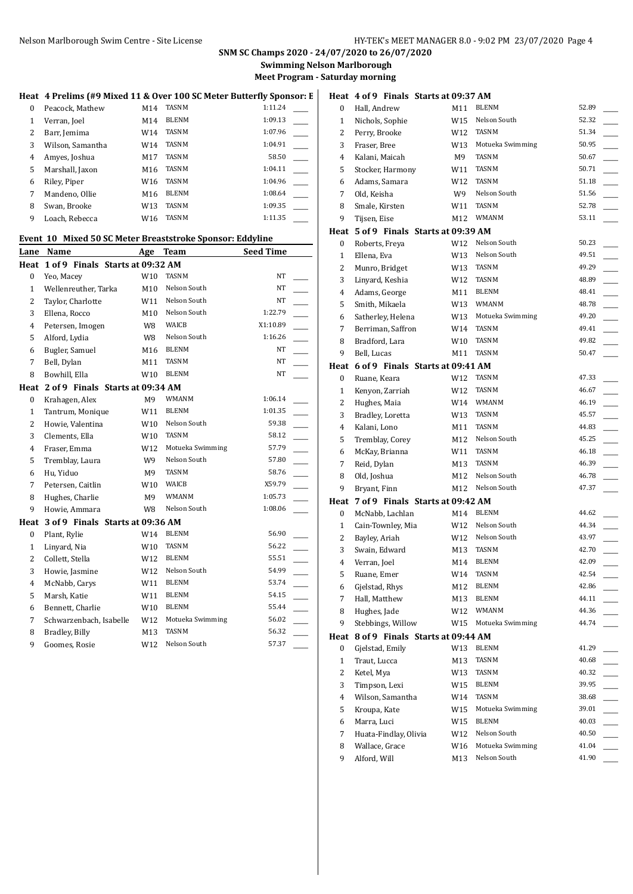# Nelson Marlborough Swim Centre - Site License **HY-TEK's MEET MANAGER 8.0 - 9:02 PM 23/07/2020** Page 4

# **SNM SC Champs 2020 - 24/07/2020 to 26/07/2020**

**Swimming Nelson Marlborough Meet Program - Saturday morning**

## Heat 4 Prelims (#9 Mixed 11 & Over 100 SC Meter Butterfly Sponsor: E **H**

| $\Omega$ | Peacock, Mathew  | M14 | <b>TASNM</b> | 1:11.24 |  |
|----------|------------------|-----|--------------|---------|--|
| 1        | Verran, Joel     | M14 | <b>BLENM</b> | 1:09.13 |  |
| 2        | Barr, Jemima     | W14 | <b>TASNM</b> | 1:07.96 |  |
| 3        | Wilson, Samantha | W14 | <b>TASNM</b> | 1:04.91 |  |
| 4        | Amyes, Joshua    | M17 | <b>TASNM</b> | 58.50   |  |
| 5        | Marshall, Jaxon  | M16 | TASNM        | 1:04.11 |  |
| 6        | Riley, Piper     | W16 | <b>TASNM</b> | 1:04.96 |  |
| 7        | Mandeno, Ollie   | M16 | <b>BLENM</b> | 1:08.64 |  |
| 8        | Swan, Brooke     | W13 | <b>TASNM</b> | 1:09.35 |  |
| 9        | Loach, Rebecca   | W16 | TASNM        | 1:11.35 |  |

#### **Event 10 Mixed 50 SC Meter Breaststroke Sponsor: Eddyline**

| Lane             | Name                                  | Age             | <b>Team</b>      | <b>Seed Time</b> |  |
|------------------|---------------------------------------|-----------------|------------------|------------------|--|
| Heat             | 1 of 9 Finals Starts at 09:32 AM      |                 |                  |                  |  |
| $\boldsymbol{0}$ | Yeo, Macey                            | W10             | <b>TASNM</b>     | NT               |  |
| $\mathbf{1}$     | Wellenreuther, Tarka                  | M <sub>10</sub> | Nelson South     | <b>NT</b>        |  |
| $\overline{2}$   | Taylor, Charlotte                     | W11             | Nelson South     | NT               |  |
| 3                | Ellena, Rocco                         | M10             | Nelson South     | 1:22.79          |  |
| 4                | Petersen, Imogen                      | W8              | WAICB            | X1:10.89         |  |
| 5                | Alford, Lydia                         | W8              | Nelson South     | 1:16.26          |  |
| 6                | Bugler, Samuel                        | M16             | <b>BLENM</b>     | NT               |  |
| 7                | Bell, Dylan                           | M11             | <b>TASNM</b>     | NT               |  |
| 8                | Bowhill, Ella                         | W10             | BLENM            | NT               |  |
|                  | Heat 2 of 9 Finals Starts at 09:34 AM |                 |                  |                  |  |
| 0                | Krahagen, Alex                        | M <sub>9</sub>  | WMANM            | 1:06.14          |  |
| $\mathbf{1}$     | Tantrum, Monique                      | W11             | <b>BLENM</b>     | 1:01.35          |  |
| $\overline{2}$   | Howie, Valentina                      | W10             | Nelson South     | 59.38            |  |
| 3                | Clements, Ella                        | W10             | <b>TASNM</b>     | 58.12            |  |
| $\overline{4}$   | Fraser, Emma                          | W12             | Motueka Swimming | 57.79            |  |
| 5                | Tremblay, Laura                       | W9              | Nelson South     | 57.80            |  |
| 6                | Hu, Yiduo                             | M9              | <b>TASNM</b>     | 58.76            |  |
| 7                | Petersen, Caitlin                     | W10             | WAICB            | X59.79           |  |
| 8                | Hughes, Charlie                       | M <sub>9</sub>  | <b>WMANM</b>     | 1:05.73          |  |
| 9                | Howie, Ammara                         | W8              | Nelson South     | 1:08.06          |  |
| Heat             | 3 of 9 Finals Starts at 09:36 AM      |                 |                  |                  |  |
| 0                | Plant, Rylie                          | W14             | <b>BLENM</b>     | 56.90            |  |
| $\mathbf{1}$     | Linyard, Nia                          | W10             | TASNM            | 56.22            |  |
| 2                | Collett, Stella                       | W12             | <b>BLENM</b>     | 55.51            |  |
| 3                | Howie, Jasmine                        | W12             | Nelson South     | 54.99            |  |
| 4                | McNabb, Carys                         | W11             | <b>BLENM</b>     | 53.74            |  |
| 5                | Marsh, Katie                          | W11             | <b>BLENM</b>     | 54.15            |  |
| 6                | Bennett, Charlie                      | W10             | <b>BLENM</b>     | 55.44            |  |
| 7                | Schwarzenbach, Isabelle               | W12             | Motueka Swimming | 56.02            |  |
| 8                | Bradley, Billy                        | M13             | TASNM            | 56.32            |  |
| 9                | Goomes, Rosie                         | W12             | Nelson South     | 57.37            |  |

|              |                 |                       | Heat 4 of 9 Finals Starts at 09:37 AM |     |                  |       |
|--------------|-----------------|-----------------------|---------------------------------------|-----|------------------|-------|
| 0            | Hall, Andrew    |                       |                                       | M11 | <b>BLENM</b>     | 52.89 |
| $\mathbf{1}$ |                 | Nichols, Sophie       |                                       | W15 | Nelson South     | 52.32 |
| 2            | Perry, Brooke   |                       |                                       | W12 | TASNM            | 51.34 |
| 3            | Fraser, Bree    |                       |                                       | W13 | Motueka Swimming | 50.95 |
| 4            | Kalani, Maicah  |                       |                                       | M9  | <b>TASNM</b>     | 50.67 |
| 5            |                 | Stocker, Harmony      |                                       | W11 | <b>TASNM</b>     | 50.71 |
| 6            |                 | Adams, Samara         |                                       | W12 | TASNM            | 51.18 |
| 7            | Old, Keisha     |                       |                                       | W9  | Nelson South     | 51.56 |
| 8            | Smale, Kirsten  |                       |                                       | W11 | TASNM            | 52.78 |
| 9            | Tijsen, Eise    |                       |                                       | M12 | <b>WMANM</b>     | 53.11 |
|              |                 |                       | Heat 5 of 9 Finals Starts at 09:39 AM |     |                  |       |
| 0            | Roberts, Freya  |                       |                                       | W12 | Nelson South     | 50.23 |
| 1            | Ellena, Eva     |                       |                                       | W13 | Nelson South     | 49.51 |
| 2            |                 | Munro, Bridget        |                                       | W13 | TASNM            | 49.29 |
| 3            |                 | Linyard, Keshia       |                                       | W12 | TASNM            | 48.89 |
| 4            |                 | Adams, George         |                                       | M11 | <b>BLENM</b>     | 48.41 |
| 5            | Smith, Mikaela  |                       |                                       | W13 | <b>WMANM</b>     | 48.78 |
| 6            |                 | Satherley, Helena     |                                       | W13 | Motueka Swimming | 49.20 |
| 7            |                 | Berriman, Saffron     |                                       | W14 | TASNM            | 49.41 |
| 8            | Bradford, Lara  |                       |                                       | W10 | TASNM            | 49.82 |
| 9            | Bell, Lucas     |                       |                                       | M11 | TASNM            | 50.47 |
|              |                 |                       | Heat 6 of 9 Finals Starts at 09:41 AM |     |                  |       |
| 0            | Ruane, Keara    |                       |                                       | W12 | TASNM            | 47.33 |
| $\mathbf{1}$ |                 | Kenyon, Zarriah       |                                       | W12 | <b>TASNM</b>     | 46.67 |
| 2            | Hughes, Maia    |                       |                                       | W14 | WMANM            | 46.19 |
| 3            |                 | Bradley, Loretta      |                                       | W13 | TASNM            | 45.57 |
| 4            | Kalani, Lono    |                       |                                       | M11 | TASNM            | 44.83 |
| 5            |                 | Tremblay, Corey       |                                       | M12 | Nelson South     | 45.25 |
| 6            |                 | McKay, Brianna        |                                       | W11 | TASNM            | 46.18 |
| 7            | Reid, Dylan     |                       |                                       | M13 | TASNM            | 46.39 |
| 8            | Old, Joshua     |                       |                                       | M12 | Nelson South     | 46.78 |
| 9            | Bryant, Finn    |                       |                                       |     | M12 Nelson South | 47.37 |
|              |                 |                       | Heat 7 of 9 Finals Starts at 09:42 AM |     |                  |       |
| 0            |                 | McNabb, Lachlan       |                                       | M14 | <b>BLENM</b>     | 44.62 |
| $\mathbf{1}$ |                 | Cain-Townley, Mia     |                                       |     | W12 Nelson South | 44.34 |
| 2            | Bayley, Ariah   |                       |                                       | W12 | Nelson South     | 43.97 |
| 3            | Swain, Edward   |                       |                                       | M13 | TASNM            | 42.70 |
| 4            | Verran, Joel    |                       |                                       | M14 | <b>BLENM</b>     | 42.09 |
| 5            | Ruane, Emer     |                       |                                       | W14 | TASNM            | 42.54 |
| 6            | Gjelstad, Rhys  |                       |                                       | M12 | <b>BLENM</b>     | 42.86 |
| 7            | Hall, Matthew   |                       |                                       | M13 | BLENM            | 44.11 |
| 8            | Hughes, Jade    |                       |                                       | W12 | WMANM            | 44.36 |
| 9            |                 | Stebbings, Willow     |                                       | W15 | Motueka Swimming | 44.74 |
| Heat         |                 |                       | 8 of 9 Finals Starts at 09:44 AM      |     |                  |       |
| 0            | Gjelstad, Emily |                       |                                       | W13 | BLENM            | 41.29 |
| $\mathbf{1}$ | Traut, Lucca    |                       |                                       | M13 | TASNM            | 40.68 |
| 2            | Ketel, Mya      |                       |                                       | W13 | TASNM            | 40.32 |
| 3            | Timpson, Lexi   |                       |                                       | W15 | BLENM            | 39.95 |
| 4            |                 | Wilson, Samantha      |                                       | W14 | TASNM            | 38.68 |
| 5            | Kroupa, Kate    |                       |                                       | W15 | Motueka Swimming | 39.01 |
| 6            | Marra, Luci     |                       |                                       | W15 | BLENM            | 40.03 |
| 7            |                 | Huata-Findlay, Olivia |                                       | W12 | Nelson South     | 40.50 |
| 8            | Wallace, Grace  |                       |                                       | W16 | Motueka Swimming | 41.04 |
| 9            | Alford, Will    |                       |                                       | M13 | Nelson South     | 41.90 |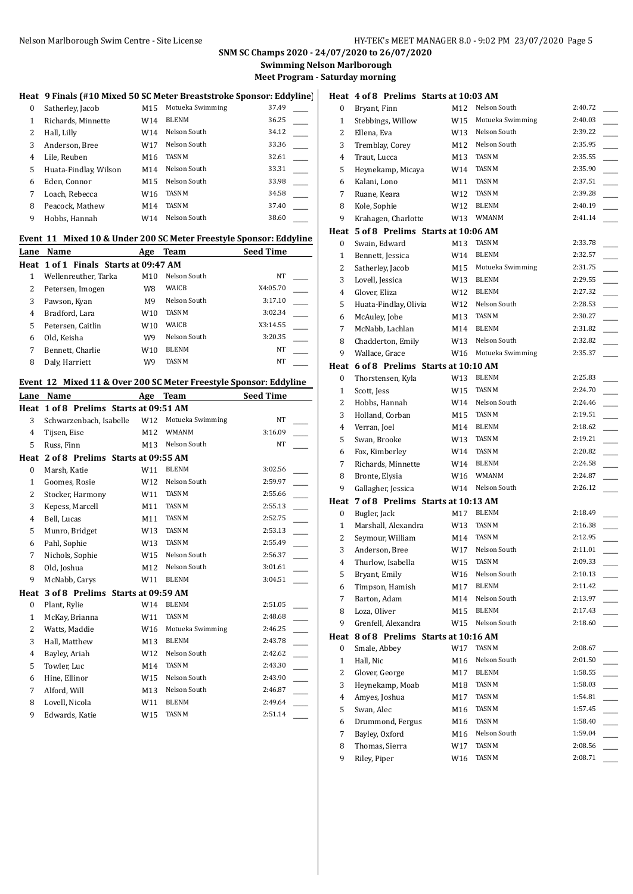## Nelson Marlborough Swim Centre - Site License **HY-TEK's MEET MANAGER 8.0 - 9:02 PM 23/07/2020** Page 5

# **SNM SC Champs 2020 - 24/07/2020 to 26/07/2020**

**Swimming Nelson Marlborough**

**Meet Program - Saturday morning**

### **Heat 9 Finals (#10 Mixed 50 SC Meter Breaststroke Sponsor: Eddyline)**

| 0 | Satherley, Jacob      | M15 | Motueka Swimming | 37.49 |  |
|---|-----------------------|-----|------------------|-------|--|
| 1 | Richards, Minnette    | W14 | <b>BLENM</b>     | 36.25 |  |
| 2 | Hall, Lilly           | W14 | Nelson South     | 34.12 |  |
| 3 | Anderson, Bree        | W17 | Nelson South     | 33.36 |  |
| 4 | Lile, Reuben          | M16 | <b>TASNM</b>     | 32.61 |  |
| 5 | Huata-Findlay, Wilson | M14 | Nelson South     | 33.31 |  |
| 6 | Eden, Connor          | M15 | Nelson South     | 33.98 |  |
| 7 | Loach, Rebecca        | W16 | <b>TASNM</b>     | 34.58 |  |
| 8 | Peacock, Mathew       | M14 | <b>TASNM</b>     | 37.40 |  |
| 9 | Hobbs, Hannah         | W14 | Nelson South     | 38.60 |  |
|   |                       |     |                  |       |  |

#### **Event 11 Mixed 10 & Under 200 SC Meter Freestyle Sponsor: Eddyline**

| Lane | Name                                  | Age            | Team         | <b>Seed Time</b> |
|------|---------------------------------------|----------------|--------------|------------------|
|      | Heat 1 of 1 Finals Starts at 09:47 AM |                |              |                  |
|      | Wellenreuther, Tarka                  | M10            | Nelson South | NT               |
| 2    | Petersen, Imogen                      | W8             | WAICB        | X4:05.70         |
| 3    | Pawson, Kyan                          | M <sub>9</sub> | Nelson South | 3:17.10          |
| 4    | Bradford, Lara                        | W10            | <b>TASNM</b> | 3:02.34          |
| 5    | Petersen, Caitlin                     | W10            | WAICB        | X3:14.55         |
| 6    | Old, Keisha                           | W9             | Nelson South | 3:20.35          |
|      | Bennett, Charlie                      | W10            | <b>BLENM</b> | NT               |
| 8    | Daly, Harriett                        | W9             | <b>TASNM</b> | NT               |
|      |                                       |                |              |                  |

#### **Event 12 Mixed 11 & Over 200 SC Meter Freestyle Sponsor: Eddyline**

| Lane           | Name                              | Age | Team             | Seed Time |  |
|----------------|-----------------------------------|-----|------------------|-----------|--|
| Heat           | 1 of 8 Prelims Starts at 09:51 AM |     |                  |           |  |
| 3              | Schwarzenbach, Isabelle           | W12 | Motueka Swimming | <b>NT</b> |  |
| 4              | Tijsen, Eise                      | M12 | <b>WMANM</b>     | 3:16.09   |  |
| 5              | Russ, Finn                        | M13 | Nelson South     | NT        |  |
| Heat           | 2 of 8 Prelims Starts at 09:55 AM |     |                  |           |  |
| $\bf{0}$       | Marsh, Katie                      | W11 | <b>BLENM</b>     | 3:02.56   |  |
| 1              | Goomes, Rosie                     | W12 | Nelson South     | 2:59.97   |  |
| 2              | Stocker, Harmony                  | W11 | <b>TASNM</b>     | 2:55.66   |  |
| 3              | Kepess, Marcell                   | M11 | TASNM            | 2:55.13   |  |
| 4              | Bell, Lucas                       | M11 | <b>TASNM</b>     | 2:52.75   |  |
| 5              | Munro, Bridget                    | W13 | <b>TASNM</b>     | 2:53.13   |  |
| 6              | Pahl, Sophie                      | W13 | <b>TASNM</b>     | 2:55.49   |  |
| 7              | Nichols, Sophie                   | W15 | Nelson South     | 2:56.37   |  |
| 8              | Old, Joshua                       | M12 | Nelson South     | 3:01.61   |  |
| 9              | McNabb, Carys                     | W11 | <b>BLENM</b>     | 3:04.51   |  |
| Heat           | 3 of 8 Prelims Starts at 09:59 AM |     |                  |           |  |
| 0              | Plant, Rylie                      | W14 | <b>BLENM</b>     | 2:51.05   |  |
| 1              | McKay, Brianna                    | W11 | <b>TASNM</b>     | 2:48.68   |  |
| 2              | Watts, Maddie                     | W16 | Motueka Swimming | 2:46.25   |  |
| 3              | Hall, Matthew                     | M13 | <b>BLENM</b>     | 2:43.78   |  |
| $\overline{4}$ | Bayley, Ariah                     | W12 | Nelson South     | 2:42.62   |  |
| 5              | Towler, Luc                       | M14 | <b>TASNM</b>     | 2:43.30   |  |
| 6              | Hine, Ellinor                     | W15 | Nelson South     | 2:43.90   |  |
| 7              | Alford, Will                      | M13 | Nelson South     | 2:46.87   |  |
| 8              | Lovell, Nicola                    | W11 | <b>BLENM</b>     | 2:49.64   |  |
| 9              | Edwards, Katie                    | W15 | TASNM            | 2:51.14   |  |
|                |                                   |     |                  |           |  |

|                | Heat 4 of 8 Prelims Starts at 10:03 AM |     |                  |                    |
|----------------|----------------------------------------|-----|------------------|--------------------|
| 0              | Bryant, Finn                           | M12 | Nelson South     | 2:40.72            |
| 1              | Stebbings, Willow                      | W15 | Motueka Swimming | 2:40.03            |
| 2              | Ellena, Eva                            | W13 | Nelson South     | 2:39.22            |
| 3              | Tremblay, Corey                        | M12 | Nelson South     | 2:35.95            |
| 4              | Traut, Lucca                           | M13 | <b>TASNM</b>     | 2:35.55            |
| 5              | Heynekamp, Micaya                      | W14 | <b>TASNM</b>     | 2:35.90            |
| 6              | Kalani, Lono                           | M11 | TASNM            | 2:37.51            |
| 7              | Ruane, Keara                           | W12 | <b>TASNM</b>     | 2:39.28            |
| 8              | Kole, Sophie                           | W12 | <b>BLENM</b>     | 2:40.19            |
| 9              | Krahagen, Charlotte                    | W13 | WMANM            | 2:41.14            |
|                | Heat 5 of 8 Prelims Starts at 10:06 AM |     |                  |                    |
| 0              | Swain, Edward                          | M13 | TASNM            | 2:33.78            |
| 1              | Bennett, Jessica                       | W14 | <b>BLENM</b>     | 2:32.57            |
| 2              | Satherley, Jacob                       | M15 | Motueka Swimming | 2:31.75            |
| 3              | Lovell, Jessica                        | W13 | BLENM            | 2:29.55            |
| $\overline{4}$ | Glover, Eliza                          | W12 | <b>BLENM</b>     | 2:27.32            |
| 5              | Huata-Findlay, Olivia                  | W12 | Nelson South     | 2:28.53            |
| 6              | McAuley, Jobe                          | M13 | <b>TASNM</b>     | 2:30.27            |
| 7              | McNabb, Lachlan                        | M14 | BLENM            | 2:31.82            |
| 8              | Chadderton, Emily                      | W13 | Nelson South     | 2:32.82            |
| 9              | Wallace, Grace                         | W16 | Motueka Swimming | 2:35.37            |
|                | Heat 6 of 8 Prelims Starts at 10:10 AM |     |                  |                    |
| 0              | Thorstensen, Kyla                      | W13 | <b>BLENM</b>     | 2:25.83            |
| $\mathbf{1}$   | Scott, Jess                            | W15 | TASNM            | 2:24.70            |
| 2              | Hobbs, Hannah                          | W14 | Nelson South     | 2:24.46            |
| 3              | Holland, Corban                        | M15 | TASNM            | 2:19.51            |
| 4              | Verran, Joel                           | M14 | <b>BLENM</b>     | 2:18.62            |
| 5              | Swan, Brooke                           | W13 | TASNM            | 2:19.21            |
| 6              | Fox, Kimberley                         | W14 | <b>TASNM</b>     | 2:20.82            |
| 7              | Richards, Minnette                     | W14 | <b>BLENM</b>     | 2:24.58            |
| 8              | Bronte, Elysia                         | W16 | WMANM            | 2:24.87            |
| 9              | Gallagher, Jessica                     | W14 | Nelson South     | 2:26.12            |
|                | Heat 7 of 8 Prelims Starts at 10:13 AM |     |                  |                    |
| 0              | Bugler, Jack                           | M17 | <b>BLENM</b>     | 2:18.49            |
| 1              | Marshall, Alexandra                    | W13 | TASNM            | 2:16.38            |
| 2              | Seymour, William                       | M14 | <b>TASNM</b>     | 2:12.95            |
| 3              | Anderson, Bree                         | W17 | Nelson South     | 2:11.01            |
| 4              | Thurlow, Isabella                      | W15 | TASNM            | 2:09.33            |
| 5              | Bryant, Emily                          | W16 | Nelson South     | 2:10.13            |
| 6              | Timpson, Hamish                        | M17 | <b>BLENM</b>     | 2:11.42            |
| 7              | Barton, Adam                           | M14 | Nelson South     | 2:13.97            |
| 8              | Loza, Oliver                           | M15 | <b>BLENM</b>     | 2:17.43            |
| 9              | Grenfell, Alexandra                    | W15 | Nelson South     | 2:18.60            |
| Heat           | 8 of 8 Prelims Starts at 10:16 AM      |     | TASNM            |                    |
| 0              | Smale, Abbey                           | W17 |                  | 2:08.67            |
| $\mathbf{1}$   | Hall, Nic                              | M16 | Nelson South     | 2:01.50            |
| 2              | Glover, George                         | M17 | BLENM<br>TASNM   | 1:58.55<br>1:58.03 |
| 3              | Heynekamp, Moab                        | M18 | TASNM            |                    |
| $\overline{4}$ | Amyes, Joshua                          | M17 | TASNM            | 1:54.81<br>1:57.45 |
| 5              | Swan, Alec                             | M16 | TASNM            | 1:58.40            |
| 6              | Drummond, Fergus                       | M16 | Nelson South     | 1:59.04            |
| 7              | Bayley, Oxford<br>Thomas, Sierra       | M16 | TASNM            | 2:08.56            |
| 8<br>9         | Riley, Piper                           | W17 | TASNM            | 2:08.71            |
|                |                                        | W16 |                  |                    |